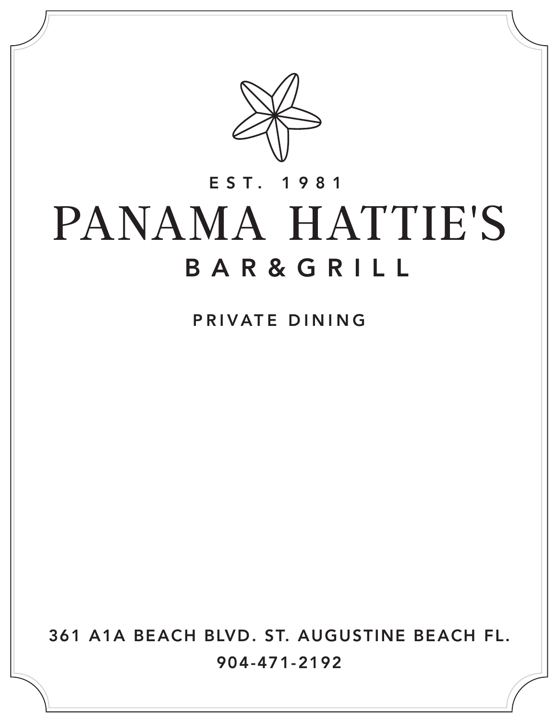

## EST. 1981PANAMA HATTIE'S BAR&GRILL

PRIVATE DINING

361 A1A BEACH BLVD. ST. AUGUSTINE BEACH FL. 904-471-2192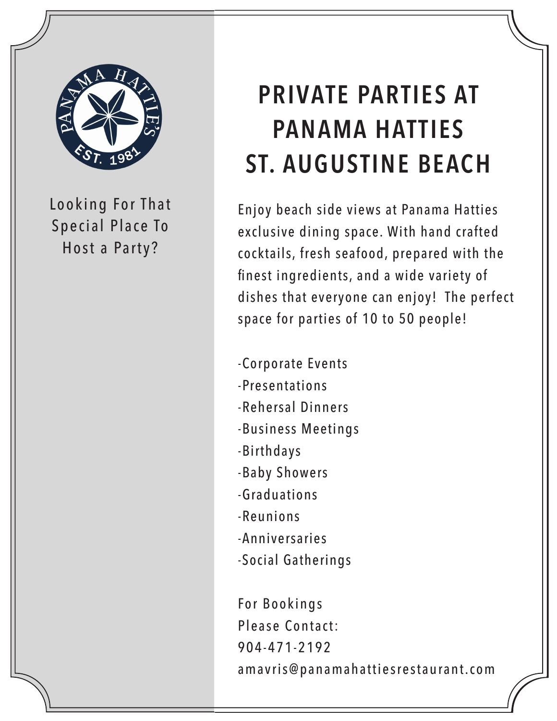

Looking For That Special Place To Host a Party?

## **PRIVATE PARTIES AT PANAMA HATTIES ST. AUGUSTINE BEACH**

Enjoy beach side views at Panama Hatties exclusive dining space. With hand crafted cocktails, fresh seafood, prepared with the finest ingredients, and a wide variety of dishes that everyone can enjoy! The perfect space for parties of 10 to 50 people!

-Corporate Events

- -Presentations
- -Rehersal Dinners
- -Business Meetings
- -Birthdays
- -Baby Showers
- -Graduations
- -Reunions
- -Anniversaries
- -Social Gatherings

For Bookings Please Contact: 904-471-2192 amavris@panamahattiesrestaurant.com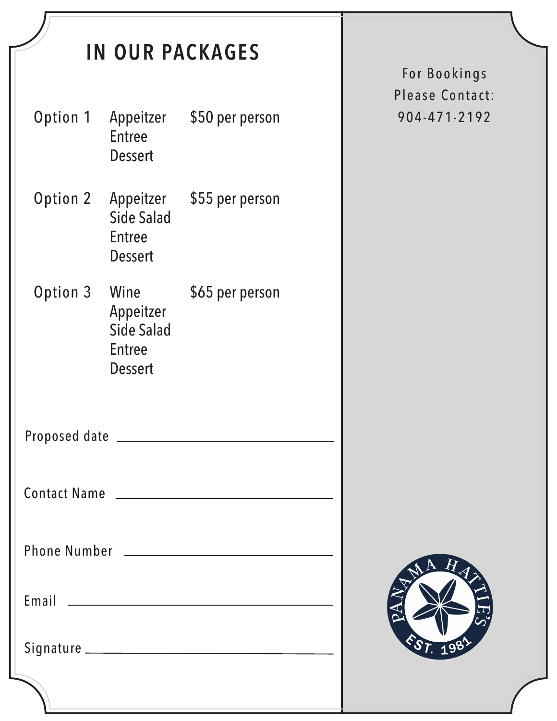| <b>IN OUR PACKAGES</b>                                                                                                                                                                                                         |                                                                    |                 |  |
|--------------------------------------------------------------------------------------------------------------------------------------------------------------------------------------------------------------------------------|--------------------------------------------------------------------|-----------------|--|
| Option 1                                                                                                                                                                                                                       | Appeitzer<br><b>Entree</b><br>Dessert                              | \$50 per person |  |
| Option 2                                                                                                                                                                                                                       | Appeitzer<br><b>Side Salad</b><br><b>Entree</b><br>Dessert         | \$55 per person |  |
| Option 3                                                                                                                                                                                                                       | Wine<br>Appeitzer<br><b>Side Salad</b><br><b>Entree</b><br>Dessert | \$65 per person |  |
| Proposed date                                                                                                                                                                                                                  |                                                                    |                 |  |
|                                                                                                                                                                                                                                |                                                                    |                 |  |
|                                                                                                                                                                                                                                |                                                                    |                 |  |
| Email 2008 Communication and Communication and Communication and Communication and Communication and Communication and Communication and Communication and Communication and Communication and Communication and Communication |                                                                    |                 |  |
|                                                                                                                                                                                                                                |                                                                    |                 |  |
|                                                                                                                                                                                                                                |                                                                    |                 |  |

For Bookings Please Contact: 904-471-2192